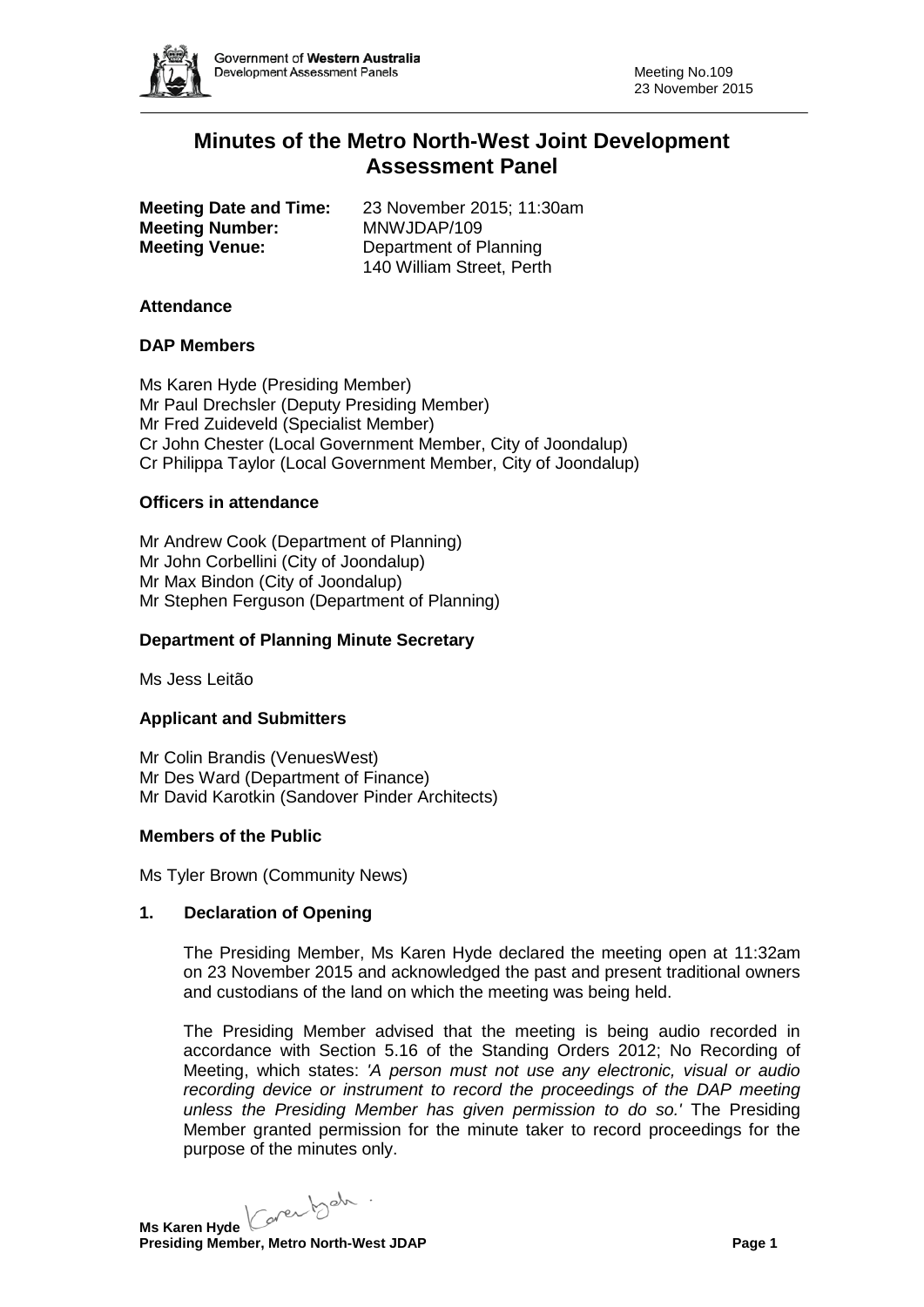

# **Minutes of the Metro North-West Joint Development Assessment Panel**

**Meeting Date and Time:** 23 November 2015; 11:30am **Meeting Number:** MNWJDAP/109 **Meeting Venue:** Department of Planning

140 William Street, Perth

# **Attendance**

# **DAP Members**

Ms Karen Hyde (Presiding Member) Mr Paul Drechsler (Deputy Presiding Member) Mr Fred Zuideveld (Specialist Member) Cr John Chester (Local Government Member, City of Joondalup) Cr Philippa Taylor (Local Government Member, City of Joondalup)

# **Officers in attendance**

Mr Andrew Cook (Department of Planning) Mr John Corbellini (City of Joondalup) Mr Max Bindon (City of Joondalup) Mr Stephen Ferguson (Department of Planning)

# **Department of Planning Minute Secretary**

Ms Jess Leitão

#### **Applicant and Submitters**

Mr Colin Brandis (VenuesWest) Mr Des Ward (Department of Finance) Mr David Karotkin (Sandover Pinder Architects)

#### **Members of the Public**

Ms Tyler Brown (Community News)

# **1. Declaration of Opening**

The Presiding Member, Ms Karen Hyde declared the meeting open at 11:32am on 23 November 2015 and acknowledged the past and present traditional owners and custodians of the land on which the meeting was being held.

The Presiding Member advised that the meeting is being audio recorded in accordance with Section 5.16 of the Standing Orders 2012; No Recording of Meeting, which states: *'A person must not use any electronic, visual or audio recording device or instrument to record the proceedings of the DAP meeting unless the Presiding Member has given permission to do so.'* The Presiding Member granted permission for the minute taker to record proceedings for the purpose of the minutes only.

**Ms Karen Hyde** Core both .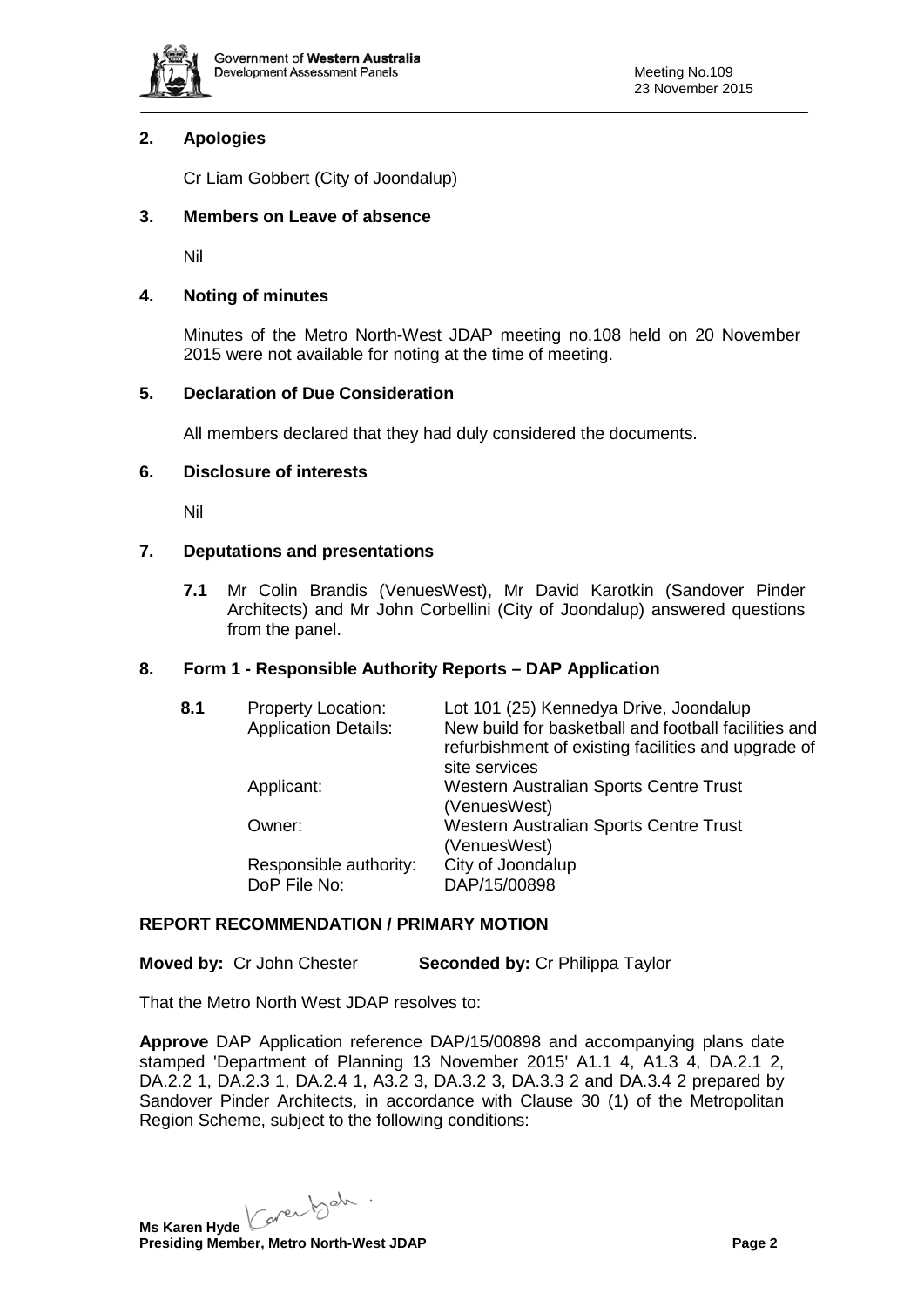

# **2. Apologies**

Cr Liam Gobbert (City of Joondalup)

# **3. Members on Leave of absence**

Nil

# **4. Noting of minutes**

Minutes of the Metro North-West JDAP meeting no.108 held on 20 November 2015 were not available for noting at the time of meeting.

# **5. Declaration of Due Consideration**

All members declared that they had duly considered the documents.

# **6. Disclosure of interests**

Nil

# **7. Deputations and presentations**

**7.1** Mr Colin Brandis (VenuesWest), Mr David Karotkin (Sandover Pinder Architects) and Mr John Corbellini (City of Joondalup) answered questions from the panel.

#### **8. Form 1 - Responsible Authority Reports – DAP Application**

| 8.1 | <b>Property Location:</b><br><b>Application Details:</b> | Lot 101 (25) Kennedya Drive, Joondalup<br>New build for basketball and football facilities and<br>refurbishment of existing facilities and upgrade of<br>site services |
|-----|----------------------------------------------------------|------------------------------------------------------------------------------------------------------------------------------------------------------------------------|
|     | Applicant:                                               | Western Australian Sports Centre Trust<br>(VenuesWest)                                                                                                                 |
|     | Owner:                                                   | Western Australian Sports Centre Trust<br>(VenuesWest)                                                                                                                 |
|     | Responsible authority:<br>DoP File No:                   | City of Joondalup<br>DAP/15/00898                                                                                                                                      |

# **REPORT RECOMMENDATION / PRIMARY MOTION**

**Moved by:** Cr John Chester **Seconded by:** Cr Philippa Taylor

That the Metro North West JDAP resolves to:

**Approve** DAP Application reference DAP/15/00898 and accompanying plans date stamped 'Department of Planning 13 November 2015' A1.1 4, A1.3 4, DA.2.1 2, DA.2.2 1, DA.2.3 1, DA.2.4 1, A3.2 3, DA.3.2 3, DA.3.3 2 and DA.3.4 2 prepared by Sandover Pinder Architects, in accordance with Clause 30 (1) of the Metropolitan Region Scheme, subject to the following conditions:

Ms Karen Hyde Caren beh .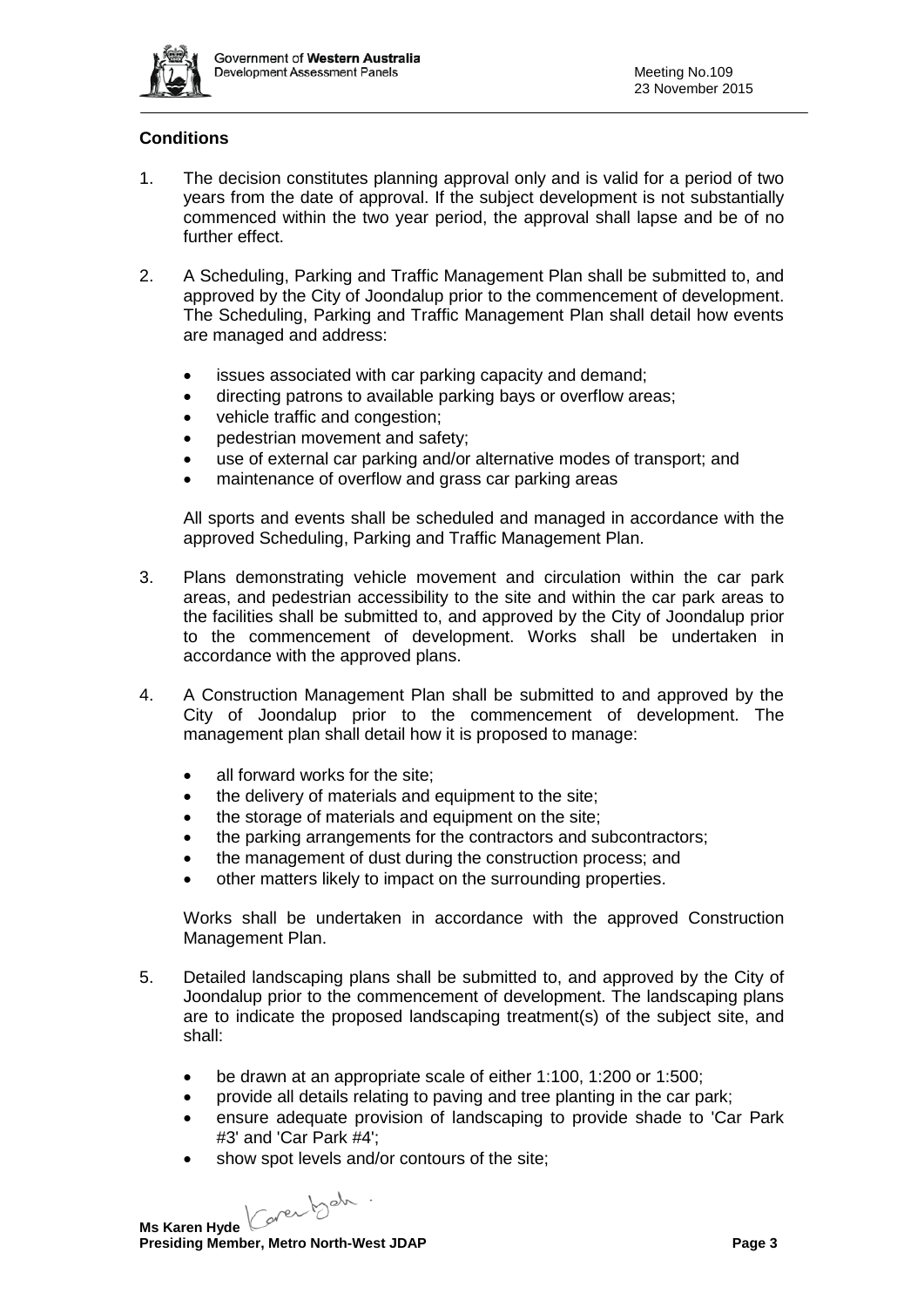

# **Conditions**

- 1. The decision constitutes planning approval only and is valid for a period of two years from the date of approval. If the subject development is not substantially commenced within the two year period, the approval shall lapse and be of no further effect.
- 2. A Scheduling, Parking and Traffic Management Plan shall be submitted to, and approved by the City of Joondalup prior to the commencement of development. The Scheduling, Parking and Traffic Management Plan shall detail how events are managed and address:
	- issues associated with car parking capacity and demand;
	- directing patrons to available parking bays or overflow areas;
	- vehicle traffic and congestion;
	- pedestrian movement and safety;
	- use of external car parking and/or alternative modes of transport; and
	- maintenance of overflow and grass car parking areas

All sports and events shall be scheduled and managed in accordance with the approved Scheduling, Parking and Traffic Management Plan.

- 3. Plans demonstrating vehicle movement and circulation within the car park areas, and pedestrian accessibility to the site and within the car park areas to the facilities shall be submitted to, and approved by the City of Joondalup prior to the commencement of development. Works shall be undertaken in accordance with the approved plans.
- 4. A Construction Management Plan shall be submitted to and approved by the City of Joondalup prior to the commencement of development. The management plan shall detail how it is proposed to manage:
	- all forward works for the site:
	- the delivery of materials and equipment to the site;
	- the storage of materials and equipment on the site;
	- the parking arrangements for the contractors and subcontractors;
	- the management of dust during the construction process; and
	- other matters likely to impact on the surrounding properties.

Works shall be undertaken in accordance with the approved Construction Management Plan.

- 5. Detailed landscaping plans shall be submitted to, and approved by the City of Joondalup prior to the commencement of development. The landscaping plans are to indicate the proposed landscaping treatment(s) of the subject site, and shall:
	- be drawn at an appropriate scale of either 1:100, 1:200 or 1:500;
	- provide all details relating to paving and tree planting in the car park;
	- ensure adequate provision of landscaping to provide shade to 'Car Park #3' and 'Car Park #4';
	- show spot levels and/or contours of the site:

Caren beh. **Ms Karen Hyde**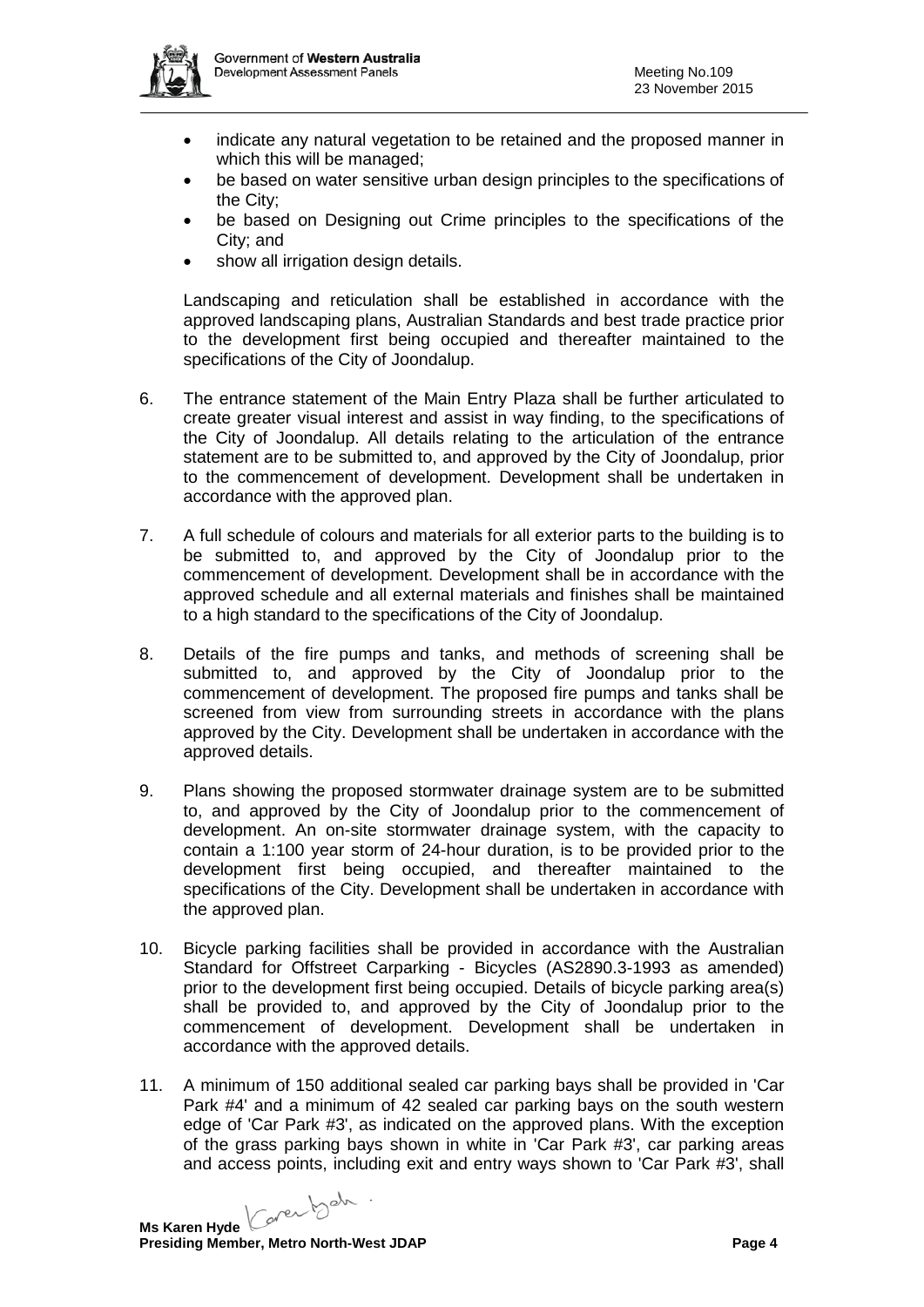

- indicate any natural vegetation to be retained and the proposed manner in which this will be managed;
- be based on water sensitive urban design principles to the specifications of the City;
- be based on Designing out Crime principles to the specifications of the City; and
- show all irrigation design details.

Landscaping and reticulation shall be established in accordance with the approved landscaping plans, Australian Standards and best trade practice prior to the development first being occupied and thereafter maintained to the specifications of the City of Joondalup.

- 6. The entrance statement of the Main Entry Plaza shall be further articulated to create greater visual interest and assist in way finding, to the specifications of the City of Joondalup. All details relating to the articulation of the entrance statement are to be submitted to, and approved by the City of Joondalup, prior to the commencement of development. Development shall be undertaken in accordance with the approved plan.
- 7. A full schedule of colours and materials for all exterior parts to the building is to be submitted to, and approved by the City of Joondalup prior to the commencement of development. Development shall be in accordance with the approved schedule and all external materials and finishes shall be maintained to a high standard to the specifications of the City of Joondalup.
- 8. Details of the fire pumps and tanks, and methods of screening shall be submitted to, and approved by the City of Joondalup prior to the commencement of development. The proposed fire pumps and tanks shall be screened from view from surrounding streets in accordance with the plans approved by the City. Development shall be undertaken in accordance with the approved details.
- 9. Plans showing the proposed stormwater drainage system are to be submitted to, and approved by the City of Joondalup prior to the commencement of development. An on-site stormwater drainage system, with the capacity to contain a 1:100 year storm of 24-hour duration, is to be provided prior to the development first being occupied, and thereafter maintained to the specifications of the City. Development shall be undertaken in accordance with the approved plan.
- 10. Bicycle parking facilities shall be provided in accordance with the Australian Standard for Offstreet Carparking - Bicycles (AS2890.3-1993 as amended) prior to the development first being occupied. Details of bicycle parking area(s) shall be provided to, and approved by the City of Joondalup prior to the commencement of development. Development shall be undertaken in accordance with the approved details.
- 11. A minimum of 150 additional sealed car parking bays shall be provided in 'Car Park #4' and a minimum of 42 sealed car parking bays on the south western edge of 'Car Park #3', as indicated on the approved plans. With the exception of the grass parking bays shown in white in 'Car Park #3', car parking areas and access points, including exit and entry ways shown to 'Car Park #3', shall

Caren beh. **Ms Karen Hyde**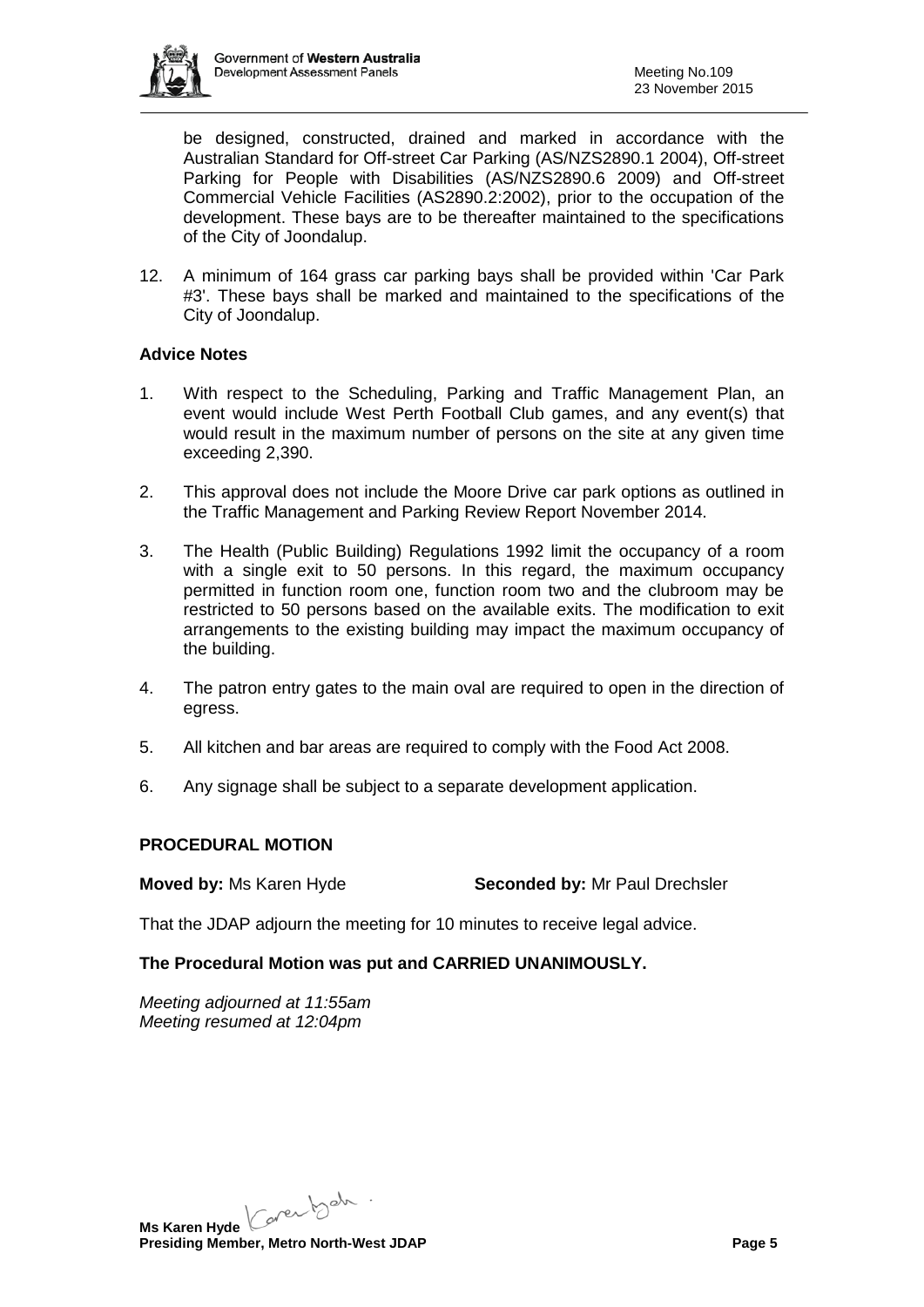

be designed, constructed, drained and marked in accordance with the Australian Standard for Off-street Car Parking (AS/NZS2890.1 2004), Off-street Parking for People with Disabilities (AS/NZS2890.6 2009) and Off-street Commercial Vehicle Facilities (AS2890.2:2002), prior to the occupation of the development. These bays are to be thereafter maintained to the specifications of the City of Joondalup.

12. A minimum of 164 grass car parking bays shall be provided within 'Car Park #3'. These bays shall be marked and maintained to the specifications of the City of Joondalup.

# **Advice Notes**

- 1. With respect to the Scheduling, Parking and Traffic Management Plan, an event would include West Perth Football Club games, and any event(s) that would result in the maximum number of persons on the site at any given time exceeding 2,390.
- 2. This approval does not include the Moore Drive car park options as outlined in the Traffic Management and Parking Review Report November 2014.
- 3. The Health (Public Building) Regulations 1992 limit the occupancy of a room with a single exit to 50 persons. In this regard, the maximum occupancy permitted in function room one, function room two and the clubroom may be restricted to 50 persons based on the available exits. The modification to exit arrangements to the existing building may impact the maximum occupancy of the building.
- 4. The patron entry gates to the main oval are required to open in the direction of egress.
- 5. All kitchen and bar areas are required to comply with the Food Act 2008.
- 6. Any signage shall be subject to a separate development application.

#### **PROCEDURAL MOTION**

**Moved by:** Ms Karen Hyde **Seconded by:** Mr Paul Drechsler

That the JDAP adjourn the meeting for 10 minutes to receive legal advice.

# **The Procedural Motion was put and CARRIED UNANIMOUSLY.**

*Meeting adjourned at 11:55am Meeting resumed at 12:04pm*

**Ms Karen Hyde** Core both .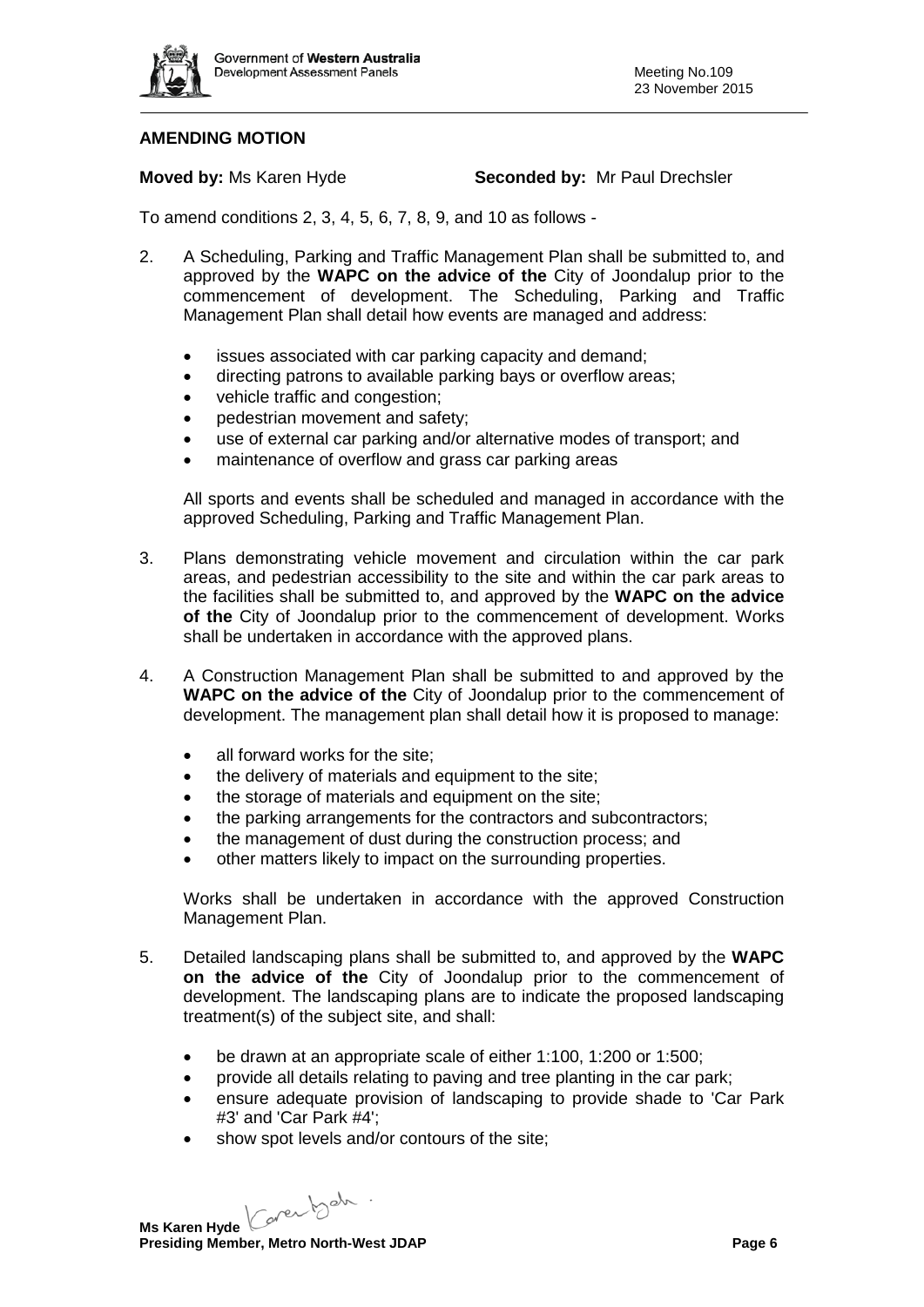

# **AMENDING MOTION**

**Moved by:** Ms Karen Hyde **Seconded by:** Mr Paul Drechsler

To amend conditions 2, 3, 4, 5, 6, 7, 8, 9, and 10 as follows -

- 2. A Scheduling, Parking and Traffic Management Plan shall be submitted to, and approved by the **WAPC on the advice of the** City of Joondalup prior to the commencement of development. The Scheduling, Parking and Traffic Management Plan shall detail how events are managed and address:
	- issues associated with car parking capacity and demand;
	- directing patrons to available parking bays or overflow areas;
	- vehicle traffic and congestion;
	- pedestrian movement and safety:
	- use of external car parking and/or alternative modes of transport; and
	- maintenance of overflow and grass car parking areas

All sports and events shall be scheduled and managed in accordance with the approved Scheduling, Parking and Traffic Management Plan.

- 3. Plans demonstrating vehicle movement and circulation within the car park areas, and pedestrian accessibility to the site and within the car park areas to the facilities shall be submitted to, and approved by the **WAPC on the advice of the** City of Joondalup prior to the commencement of development. Works shall be undertaken in accordance with the approved plans.
- 4. A Construction Management Plan shall be submitted to and approved by the **WAPC on the advice of the** City of Joondalup prior to the commencement of development. The management plan shall detail how it is proposed to manage:
	- all forward works for the site;
	- the delivery of materials and equipment to the site;
	- the storage of materials and equipment on the site;
	- the parking arrangements for the contractors and subcontractors;
	- the management of dust during the construction process; and
	- other matters likely to impact on the surrounding properties.

Works shall be undertaken in accordance with the approved Construction Management Plan.

- 5. Detailed landscaping plans shall be submitted to, and approved by the **WAPC on the advice of the** City of Joondalup prior to the commencement of development. The landscaping plans are to indicate the proposed landscaping treatment(s) of the subject site, and shall:
	- be drawn at an appropriate scale of either 1:100, 1:200 or 1:500;
	- provide all details relating to paving and tree planting in the car park;
	- ensure adequate provision of landscaping to provide shade to 'Car Park #3' and 'Car Park #4';
	- show spot levels and/or contours of the site;

**Ms Karen Hyde** Core both .

**Presiding Member, Metro North-West JDAP Page 6 Page 6**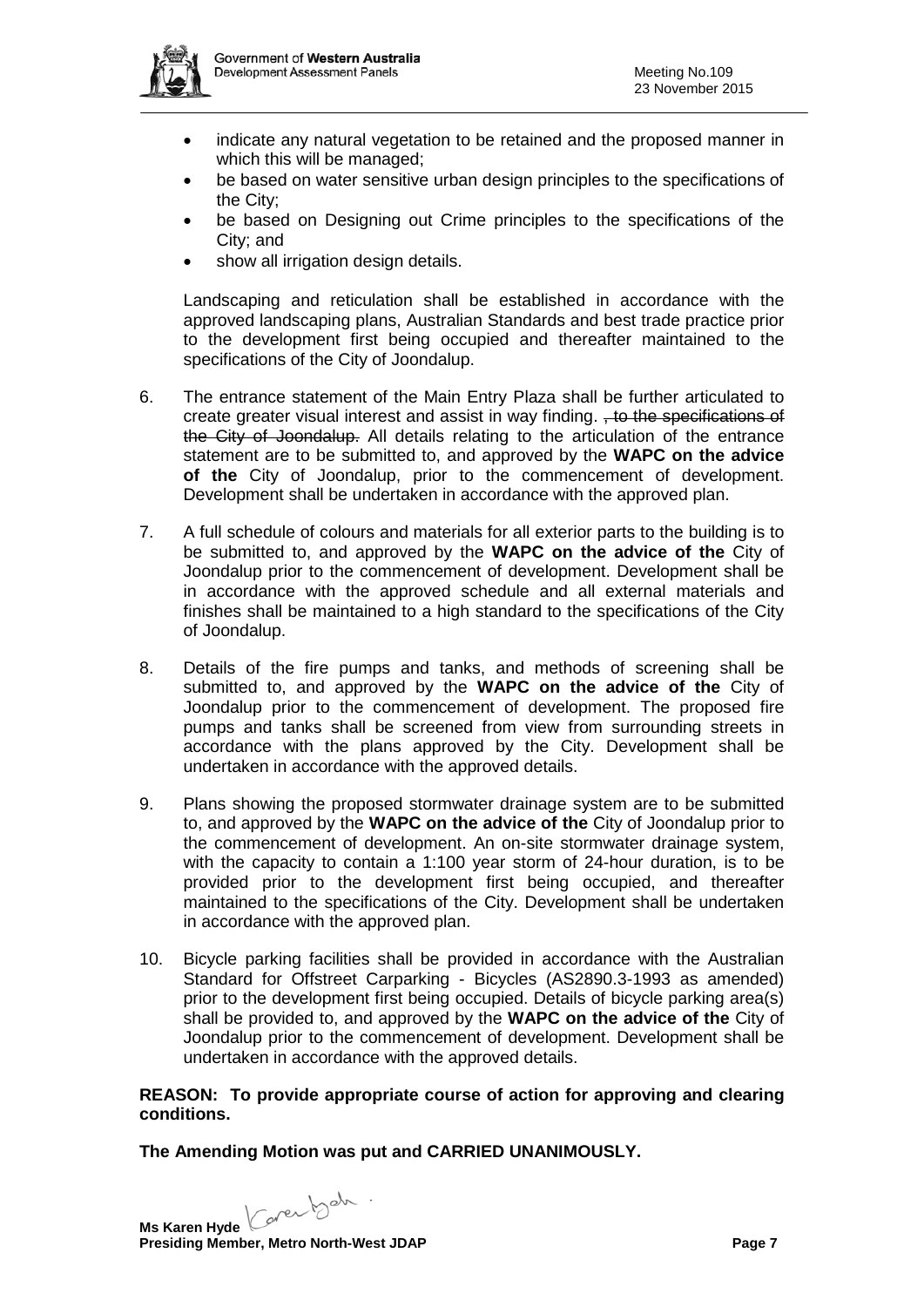

- indicate any natural vegetation to be retained and the proposed manner in which this will be managed;
- be based on water sensitive urban design principles to the specifications of the City;
- be based on Designing out Crime principles to the specifications of the City; and
- show all irrigation design details.

Landscaping and reticulation shall be established in accordance with the approved landscaping plans, Australian Standards and best trade practice prior to the development first being occupied and thereafter maintained to the specifications of the City of Joondalup.

- 6. The entrance statement of the Main Entry Plaza shall be further articulated to create greater visual interest and assist in way finding. , to the specifications of the City of Joondalup. All details relating to the articulation of the entrance statement are to be submitted to, and approved by the **WAPC on the advice of the** City of Joondalup, prior to the commencement of development. Development shall be undertaken in accordance with the approved plan.
- 7. A full schedule of colours and materials for all exterior parts to the building is to be submitted to, and approved by the **WAPC on the advice of the** City of Joondalup prior to the commencement of development. Development shall be in accordance with the approved schedule and all external materials and finishes shall be maintained to a high standard to the specifications of the City of Joondalup.
- 8. Details of the fire pumps and tanks, and methods of screening shall be submitted to, and approved by the **WAPC on the advice of the** City of Joondalup prior to the commencement of development. The proposed fire pumps and tanks shall be screened from view from surrounding streets in accordance with the plans approved by the City. Development shall be undertaken in accordance with the approved details.
- 9. Plans showing the proposed stormwater drainage system are to be submitted to, and approved by the **WAPC on the advice of the** City of Joondalup prior to the commencement of development. An on-site stormwater drainage system, with the capacity to contain a 1:100 year storm of 24-hour duration, is to be provided prior to the development first being occupied, and thereafter maintained to the specifications of the City. Development shall be undertaken in accordance with the approved plan.
- 10. Bicycle parking facilities shall be provided in accordance with the Australian Standard for Offstreet Carparking - Bicycles (AS2890.3-1993 as amended) prior to the development first being occupied. Details of bicycle parking area(s) shall be provided to, and approved by the **WAPC on the advice of the** City of Joondalup prior to the commencement of development. Development shall be undertaken in accordance with the approved details.

# **REASON: To provide appropriate course of action for approving and clearing conditions.**

**The Amending Motion was put and CARRIED UNANIMOUSLY.**

**Ms Karen Hyde** Core both .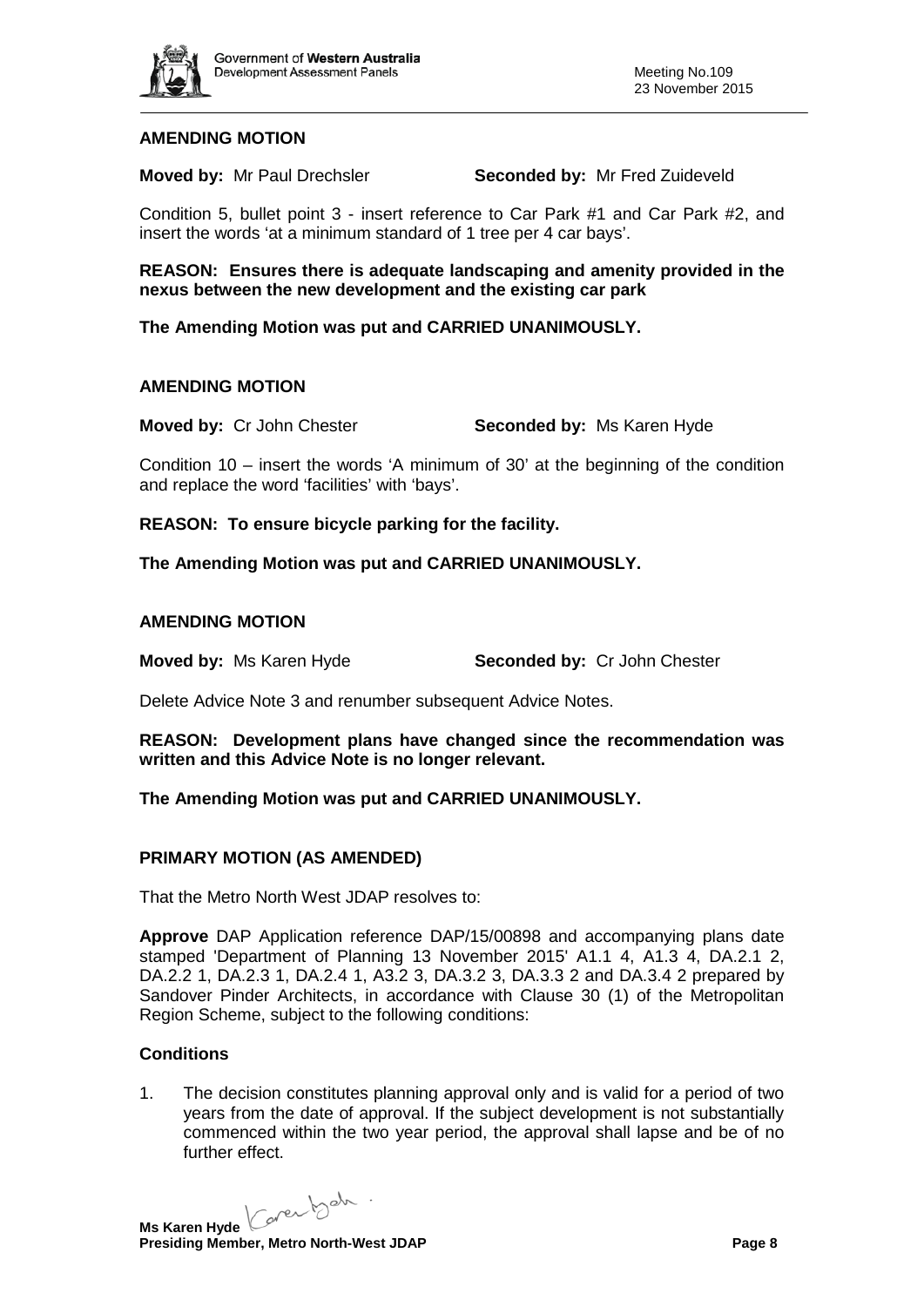

# **AMENDING MOTION**

**Moved by:** Mr Paul Drechsler **Seconded by:** Mr Fred Zuideveld

Condition 5, bullet point 3 - insert reference to Car Park #1 and Car Park #2, and insert the words 'at a minimum standard of 1 tree per 4 car bays'.

**REASON: Ensures there is adequate landscaping and amenity provided in the nexus between the new development and the existing car park**

**The Amending Motion was put and CARRIED UNANIMOUSLY.**

#### **AMENDING MOTION**

**Moved by:** Cr John Chester **Seconded by:** Ms Karen Hyde

Condition 10 – insert the words 'A minimum of 30' at the beginning of the condition and replace the word 'facilities' with 'bays'.

**REASON: To ensure bicycle parking for the facility.**

**The Amending Motion was put and CARRIED UNANIMOUSLY.**

#### **AMENDING MOTION**

**Moved by:** Ms Karen Hyde **Seconded by:** Cr John Chester

Delete Advice Note 3 and renumber subsequent Advice Notes.

**REASON: Development plans have changed since the recommendation was written and this Advice Note is no longer relevant.**

#### **The Amending Motion was put and CARRIED UNANIMOUSLY.**

#### **PRIMARY MOTION (AS AMENDED)**

That the Metro North West JDAP resolves to:

**Approve** DAP Application reference DAP/15/00898 and accompanying plans date stamped 'Department of Planning 13 November 2015' A1.1 4, A1.3 4, DA.2.1 2, DA.2.2 1, DA.2.3 1, DA.2.4 1, A3.2 3, DA.3.2 3, DA.3.3 2 and DA.3.4 2 prepared by Sandover Pinder Architects, in accordance with Clause 30 (1) of the Metropolitan Region Scheme, subject to the following conditions:

#### **Conditions**

1. The decision constitutes planning approval only and is valid for a period of two years from the date of approval. If the subject development is not substantially commenced within the two year period, the approval shall lapse and be of no further effect.

Ms Karen Hyde Caren beh .

**Presiding Member, Metro North-West JDAP Page 8**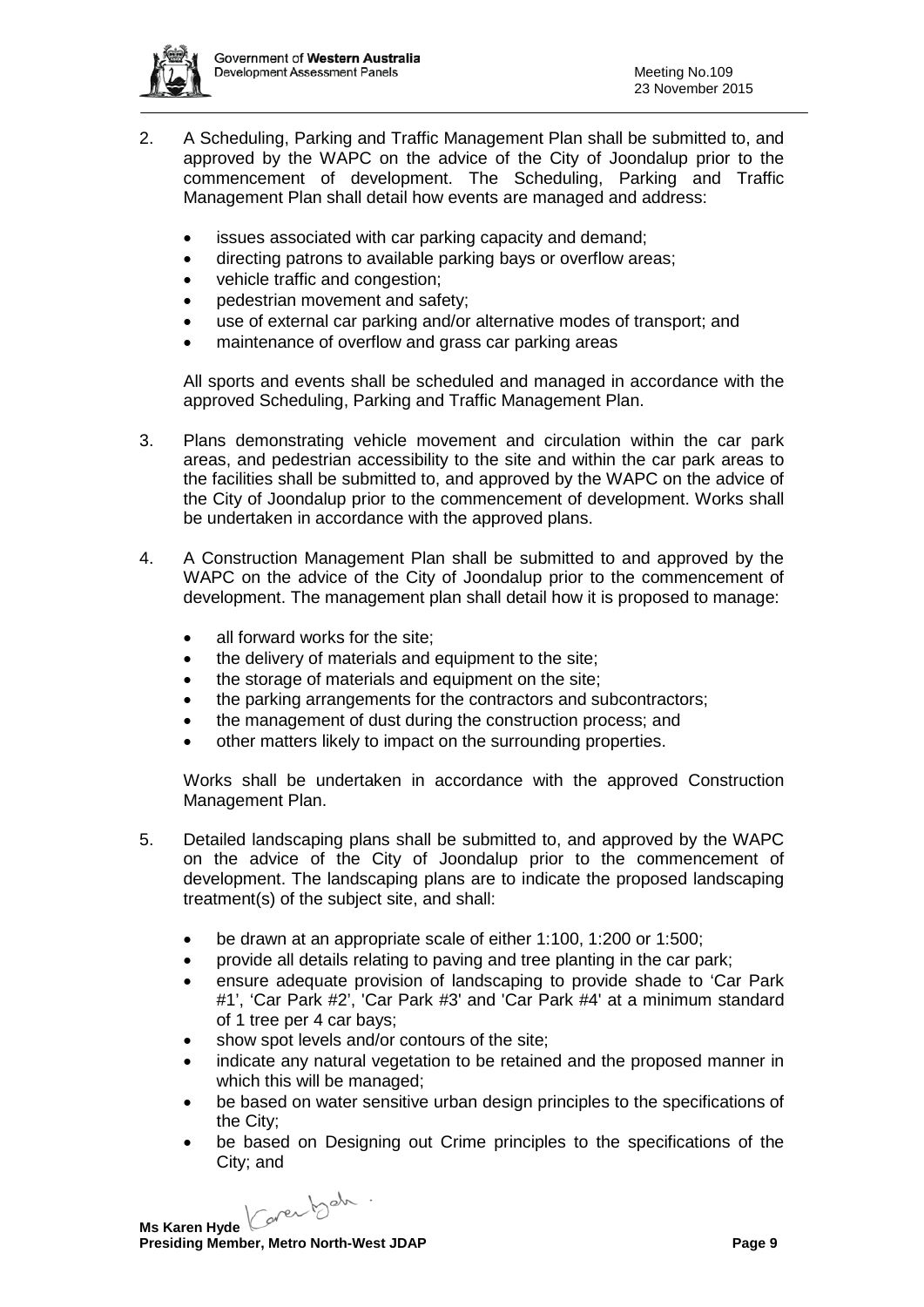

- 2. A Scheduling, Parking and Traffic Management Plan shall be submitted to, and approved by the WAPC on the advice of the City of Joondalup prior to the commencement of development. The Scheduling, Parking and Traffic Management Plan shall detail how events are managed and address:
	- issues associated with car parking capacity and demand;
	- directing patrons to available parking bays or overflow areas;
	- vehicle traffic and congestion;
	- pedestrian movement and safety;
	- use of external car parking and/or alternative modes of transport; and
	- maintenance of overflow and grass car parking areas

All sports and events shall be scheduled and managed in accordance with the approved Scheduling, Parking and Traffic Management Plan.

- 3. Plans demonstrating vehicle movement and circulation within the car park areas, and pedestrian accessibility to the site and within the car park areas to the facilities shall be submitted to, and approved by the WAPC on the advice of the City of Joondalup prior to the commencement of development. Works shall be undertaken in accordance with the approved plans.
- 4. A Construction Management Plan shall be submitted to and approved by the WAPC on the advice of the City of Joondalup prior to the commencement of development. The management plan shall detail how it is proposed to manage:
	- all forward works for the site;
	- the delivery of materials and equipment to the site;
	- the storage of materials and equipment on the site;
	- the parking arrangements for the contractors and subcontractors;
	- the management of dust during the construction process; and
	- other matters likely to impact on the surrounding properties.

Works shall be undertaken in accordance with the approved Construction Management Plan.

- 5. Detailed landscaping plans shall be submitted to, and approved by the WAPC on the advice of the City of Joondalup prior to the commencement of development. The landscaping plans are to indicate the proposed landscaping treatment(s) of the subject site, and shall:
	- be drawn at an appropriate scale of either 1:100, 1:200 or 1:500;
	- provide all details relating to paving and tree planting in the car park;
	- ensure adequate provision of landscaping to provide shade to 'Car Park #1', 'Car Park #2', 'Car Park #3' and 'Car Park #4' at a minimum standard of 1 tree per 4 car bays;
	- show spot levels and/or contours of the site;
	- indicate any natural vegetation to be retained and the proposed manner in which this will be managed;
	- be based on water sensitive urban design principles to the specifications of the City;
	- be based on Designing out Crime principles to the specifications of the City; and

Caren beh. **Ms Karen Hyde**

**Presiding Member, Metro North-West JDAP Page 9 Page 9**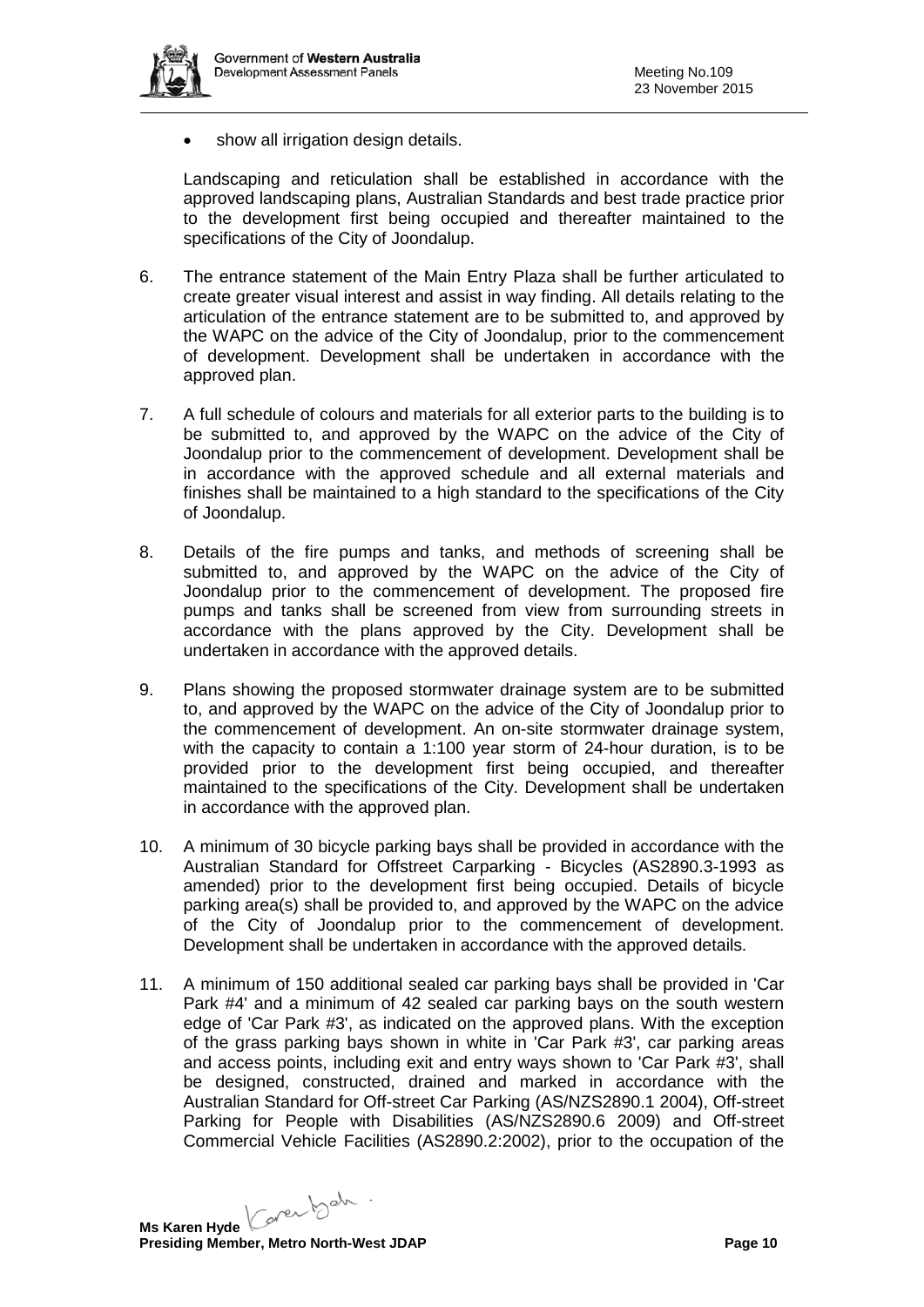

• show all irrigation design details.

Landscaping and reticulation shall be established in accordance with the approved landscaping plans, Australian Standards and best trade practice prior to the development first being occupied and thereafter maintained to the specifications of the City of Joondalup.

- 6. The entrance statement of the Main Entry Plaza shall be further articulated to create greater visual interest and assist in way finding. All details relating to the articulation of the entrance statement are to be submitted to, and approved by the WAPC on the advice of the City of Joondalup, prior to the commencement of development. Development shall be undertaken in accordance with the approved plan.
- 7. A full schedule of colours and materials for all exterior parts to the building is to be submitted to, and approved by the WAPC on the advice of the City of Joondalup prior to the commencement of development. Development shall be in accordance with the approved schedule and all external materials and finishes shall be maintained to a high standard to the specifications of the City of Joondalup.
- 8. Details of the fire pumps and tanks, and methods of screening shall be submitted to, and approved by the WAPC on the advice of the City of Joondalup prior to the commencement of development. The proposed fire pumps and tanks shall be screened from view from surrounding streets in accordance with the plans approved by the City. Development shall be undertaken in accordance with the approved details.
- 9. Plans showing the proposed stormwater drainage system are to be submitted to, and approved by the WAPC on the advice of the City of Joondalup prior to the commencement of development. An on-site stormwater drainage system, with the capacity to contain a 1:100 year storm of 24-hour duration, is to be provided prior to the development first being occupied, and thereafter maintained to the specifications of the City. Development shall be undertaken in accordance with the approved plan.
- 10. A minimum of 30 bicycle parking bays shall be provided in accordance with the Australian Standard for Offstreet Carparking - Bicycles (AS2890.3-1993 as amended) prior to the development first being occupied. Details of bicycle parking area(s) shall be provided to, and approved by the WAPC on the advice of the City of Joondalup prior to the commencement of development. Development shall be undertaken in accordance with the approved details.
- 11. A minimum of 150 additional sealed car parking bays shall be provided in 'Car Park #4' and a minimum of 42 sealed car parking bays on the south western edge of 'Car Park #3', as indicated on the approved plans. With the exception of the grass parking bays shown in white in 'Car Park #3', car parking areas and access points, including exit and entry ways shown to 'Car Park #3', shall be designed, constructed, drained and marked in accordance with the Australian Standard for Off-street Car Parking (AS/NZS2890.1 2004), Off-street Parking for People with Disabilities (AS/NZS2890.6 2009) and Off-street Commercial Vehicle Facilities (AS2890.2:2002), prior to the occupation of the

Ms Karen Hyde Caren beh .